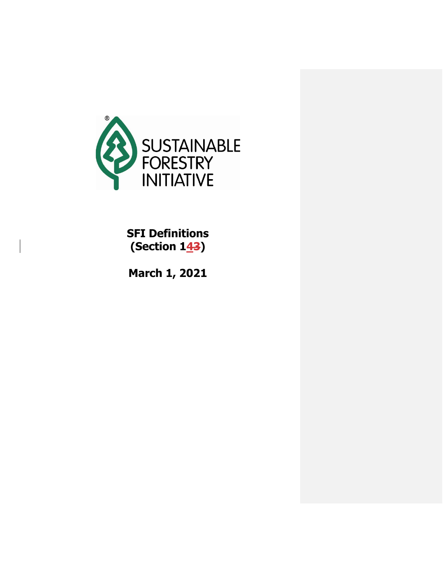

**SFI Definitions (Section 143)** 

**March 1, 2021**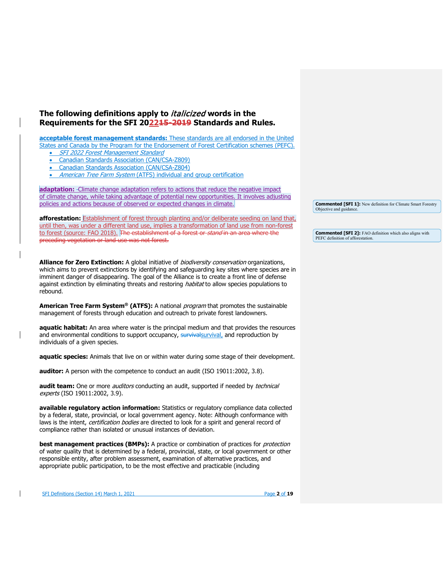## **The following definitions apply to** italicized **words in the Requirements for the SFI 202215-2019 Standards and Rules.**

**acceptable forest management standards:** These standards are all endorsed in the United

States and Canada by the Program for the Endorsement of Forest Certification schemes (PEFC).

• SFI 2022 Forest Management Standard

- Canadian Standards Association (CAN/CSA-Z809)
- Canadian Standards Association (CAN/CSA-Z804)

American Tree Farm System (ATFS) individual and group certification

**adaptation:** Climate change adaptation refers to actions that reduce the negative impact of climate change, while taking advantage of potential new opportunities. It involves adjusting policies and actions because of observed or expected changes in climate.

**afforestation:** Establishment of forest through planting and/or deliberate seeding on land that, until then, was under a different land use, implies a transformation of land use from non-forest to forest (source: FAO 2018). The establishment of a forest or *stand* in an area where the preceding vegetation or land use was not forest.

**Alliance for Zero Extinction:** A global initiative of biodiversity conservation organizations, which aims to prevent extinctions by identifying and safeguarding key sites where species are in imminent danger of disappearing. The goal of the Alliance is to create a front line of defense against extinction by eliminating threats and restoring *habitat* to allow species populations to rebound.

American Tree Farm System® (ATFS): A national *program* that promotes the sustainable management of forests through education and outreach to private forest landowners.

**aquatic habitat:** An area where water is the principal medium and that provides the resources and environmental conditions to support occupancy, survival survival, and reproduction by individuals of a given species.

**aquatic species:** Animals that live on or within water during some stage of their development.

**auditor:** A person with the competence to conduct an audit (ISO 19011:2002, 3.8).

**audit team:** One or more *auditors* conducting an audit, supported if needed by *technical* experts (ISO 19011:2002, 3.9).

**available regulatory action information:** Statistics or regulatory compliance data collected by a federal, state, provincial, or local government agency. Note: Although conformance with laws is the intent, certification bodies are directed to look for a spirit and general record of compliance rather than isolated or unusual instances of deviation.

**best management practices (BMPs):** A practice or combination of practices for *protection* of water quality that is determined by a federal, provincial, state, or local government or other responsible entity, after problem assessment, examination of alternative practices, and appropriate public participation, to be the most effective and practicable (including

SFI Definitions (Section 14) March 1, 2021 **Page 2** of 19

**Commented [SFI 1]:** New definition for Climate Smart Forestry Objective and guidance

**Commented [SFI 2]:** FAO definition which also aligns with PEFC definition of afforestation.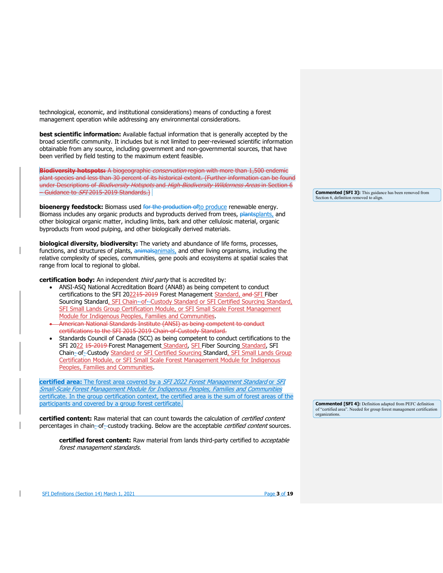technological, economic, and institutional considerations) means of conducting a forest management operation while addressing any environmental considerations.

**best scientific information:** Available factual information that is generally accepted by the broad scientific community. It includes but is not limited to peer-reviewed scientific information obtainable from any source, including government and non-governmental sources, that have been verified by field testing to the maximum extent feasible.

**Biodiversity hotspots:** A biogeographic conservation region with more than 1,500 endemic plant species and less than 30 percent of its historical extent. (Further information can be found under Descriptions of *Biodiversity Hotspots* and High Biodiversity Wilderness Areas in Section 6 – Guidance to SFI 2015-2019 Standards.)

**bioenergy feedstock:** Biomass used for the production ofto produce renewable energy. Biomass includes any organic products and byproducts derived from trees, plantsplants, and other biological organic matter, including limbs, bark and other cellulosic material, organic byproducts from wood pulping, and other biologically derived materials.

**biological diversity, biodiversity:** The variety and abundance of life forms, processes, functions, and structures of plants, animalsanimals, and other living organisms, including the relative complexity of species, communities, gene pools and ecosystems at spatial scales that range from local to regional to global.

**certification body:** An independent *third party* that is accredited by:

- ANSI-ASQ National Accreditation Board (ANAB) as being competent to conduct certifications to the SFI 202215-2019 Forest Management Standard, and SFI Fiber Sourcing Standard, SFI Chain-of-Custody Standard or SFI Certified Sourcing Standard, SFI Small Lands Group Certification Module, or SFI Small Scale Forest Management Module for Indigenous Peoples, Families and Communities.
- American National Standards Institute (ANSI) as being competent to conduct certifications to the SFI 2015-2019 Chain-of-Custody Standard.
- Standards Council of Canada (SCC) as being competent to conduct certifications to the SFI 2022 15-2019 Forest Management Standard, SFI Fiber Sourcing Standard, SFI Chain-of- Custody Standard or SFI Certified Sourcing Standard, SFI Small Lands Group Certification Module, or SFI Small Scale Forest Management Module for Indigenous Peoples, Families and Communities.

**certified area:** The forest area covered by a SFI 2022 Forest Management Standard or SFI Small-Scale Forest Management Module for Indigenous Peoples, Families and Communities certificate. In the group certification context, the certified area is the sum of forest areas of the participants and covered by a group forest certificate.

**certified content:** Raw material that can count towards the calculation of certified content percentages in chain-of-custody tracking. Below are the acceptable *certified content* sources.

**certified forest content:** Raw material from lands third-party certified to acceptable forest management standards.

**Commented [SFI 3]:** This guidance has been removed from Section 6, definition removed to align.

**Commented [SFI 4]:** Definition adapted from PEFC definition of "certified area". Needed for group forest management certification organizations.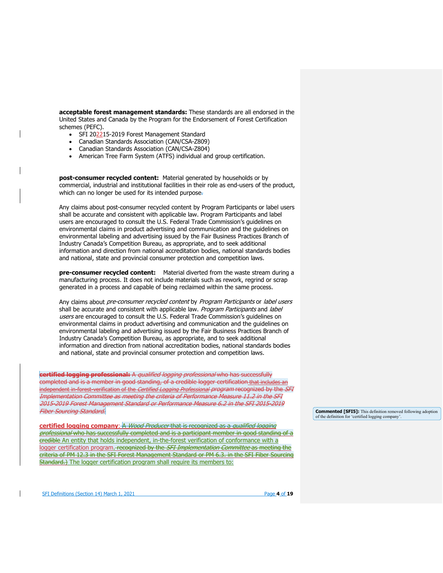**acceptable forest management standards:** These standards are all endorsed in the United States and Canada by the Program for the Endorsement of Forest Certification schemes (PEFC).

- SFI 202215-2019 Forest Management Standard
- Canadian Standards Association (CAN/CSA-Z809)
- Canadian Standards Association (CAN/CSA-Z804)
- American Tree Farm System (ATFS) individual and group certification.

**post-consumer recycled content:** Material generated by households or by commercial, industrial and institutional facilities in their role as end-users of the product, which can no longer be used for its intended purpose.

Any claims about post-consumer recycled content by Program Participants or label users shall be accurate and consistent with applicable law. Program Participants and label users are encouraged to consult the U.S. Federal Trade Commission's guidelines on environmental claims in product advertising and communication and the guidelines on environmental labeling and advertising issued by the Fair Business Practices Branch of Industry Canada's Competition Bureau, as appropriate, and to seek additional information and direction from national accreditation bodies, national standards bodies and national, state and provincial consumer protection and competition laws.

**pre-consumer recycled content:** Material diverted from the waste stream during a manufacturing process. It does not include materials such as rework, regrind or scrap generated in a process and capable of being reclaimed within the same process.

Any claims about pre-consumer recycled content by Program Participants or label users shall be accurate and consistent with applicable law. Program Participants and label users are encouraged to consult the U.S. Federal Trade Commission's guidelines on environmental claims in product advertising and communication and the guidelines on environmental labeling and advertising issued by the Fair Business Practices Branch of Industry Canada's Competition Bureau, as appropriate, and to seek additional information and direction from national accreditation bodies, national standards bodies and national, state and provincial consumer protection and competition laws.

**certified logging professional:** A qualified logging professional who has successfully completed and is a member in good standing, of a credible logger certification that includes an independent in-forest-verification of the *Certified Logging Professional program* recognized by the *SFI* Implementation Committee as meeting the criteria of Performance Measure 11.2 in the SFI 2015-2019 Forest Management Standard or Performance Measure 6.2 in the SFI 2015-2019 Fiber Sourcing Standard.

**certified logging company**: A Wood Producer that is recognized as a qualified logging professional who has successfully completed and is a participant member in good standing of a credible An entity that holds independent, in-the-forest verification of conformance with a logger certification program. recognized by the SFI Implementation Committee as meeting the criteria of PM 12.3 in the SFI Forest Management Standard or PM 6.3. in the SFI Fiber Sourcing Standard.) The logger certification program shall require its members to:

**Commented [SFI5]:** This definition removed following adoption of the definition for 'certified logging company'.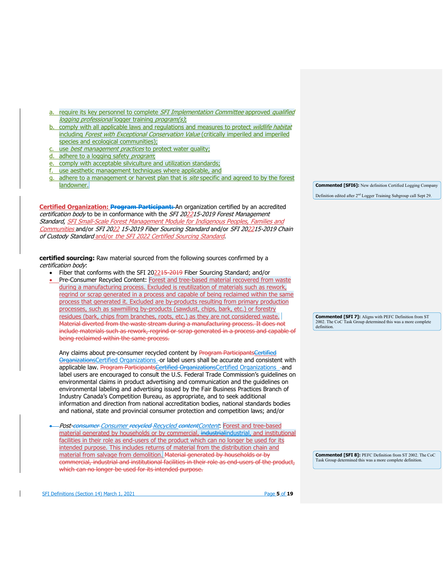- a. require its key personnel to complete SFI Implementation Committee approved qualified logging professional logger training program(s);
- b. comply with all applicable laws and regulations and measures to protect wildlife habitat including Forest with Exceptional Conservation Value (critically imperiled and imperiled species and ecological communities);
- use *best management practices* to protect water quality;
- adhere to a logging safety *program*;
- comply with acceptable silviculture and utilization standards;
- f. use aesthetic management techniques where applicable, and
- g. adhere to a management or harvest plan that is site specific and agreed to by the forest landowner.

**Certified Organization: Program Participant:** An organization certified by an accredited certification body to be in conformance with the SFI 202215-2019 Forest Management Standard, SFI Small-Scale Forest Management Module for Indigenous Peoples, Families and Communities and/or SFI 2022 15-2019 Fiber Sourcing Standard and/or SFI 202215-2019 Chain of Custody Standard and/or the SFI 2022 Certified Sourcing Standard.

**certified sourcing:** Raw material sourced from the following sources confirmed by a certification body:

- Fiber that conforms with the SFI 202215-2019 Fiber Sourcing Standard; and/or
- Pre-Consumer Recycled Content: Forest and tree-based material recovered from waste during a manufacturing process. Excluded is reutilization of materials such as rework, regrind or scrap generated in a process and capable of being reclaimed within the same process that generated it. Excluded are by-products resulting from primary production processes, such as sawmilling by-products (sawdust, chips, bark, etc.) or forestry residues (bark, chips from branches, roots, etc.) as they are not considered waste. Material diverted from the waste stream during a manufacturing process. It does not include materials such as rework, regrind or scrap generated in a process and capable of being reclaimed within the same process.

Any claims about pre-consumer recycled content by Program ParticipantsCertified OrganizationsCertified Organizations -or label users shall be accurate and consistent with applicable law. Program ParticipantsCertified OrganizationsCertified Organizations -and label users are encouraged to consult the U.S. Federal Trade Commission's guidelines on environmental claims in product advertising and communication and the guidelines on environmental labeling and advertising issued by the Fair Business Practices Branch of Industry Canada's Competition Bureau, as appropriate, and to seek additional information and direction from national accreditation bodies, national standards bodies and national, state and provincial consumer protection and competition laws; and/or

• Post-consumer Consumer recycled Recycled contentContent: Forest and tree-based material generated by households or by commercial, industrialindustrial, and institutional facilities in their role as end-users of the product which can no longer be used for its intended purpose. This includes returns of material from the distribution chain and material from salvage from demolition. Material generated by households or by commercial, industrial and institutional facilities in their role as end-users of the product, which can no longer be used for its intended purpose.

**Commented [SFI6]:** New definition Certified Logging Company Definition edited after 2nd Logger Training Subgroup call Sept 29.

**Commented [SFI 7]:** Aligns with PEFC Definition from ST 2002. The CoC Task Group determined this was a more complete definition.

**Commented [SFI 8]:** PEFC Definition from ST 2002. The CoC Task Group determined this was a more complete definition.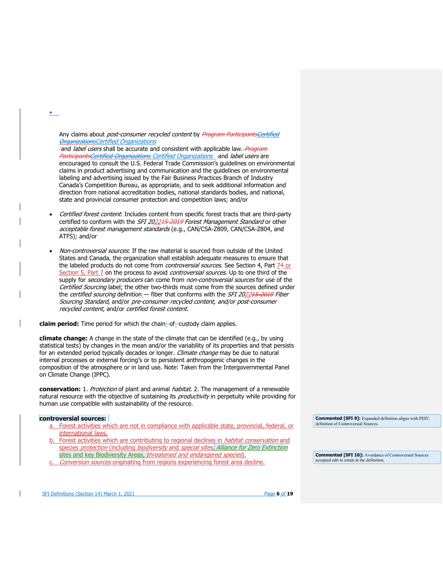Any claims about *post-consumer recycled content* by Program ParticipantsCertified OrganizationsCertified Organizations

and *label users* shall be accurate and consistent with applicable law. *Program* ParticipantsCertified Organizations Certified Organizations -and label users are encouraged to consult the U.S. Federal Trade Commission's guidelines on environmental claims in product advertising and communication and the guidelines on environmental labeling and advertising issued by the Fair Business Practices Branch of Industry Canada's Competition Bureau, as appropriate, and to seek additional information and direction from national accreditation bodies, national standards bodies, and national, state and provincial consumer protection and competition laws; and/or

- Certified forest content: Includes content from specific forest tracts that are third-party certified to conform with the SFI 202215-2019 Forest Management Standard or other acceptable forest management standards (e.g., CAN/CSA-Z809, CAN/CSA-Z804, and ATFS); and/or
- Non-controversial sources: If the raw material is sourced from outside of the United States and Canada, the organization shall establish adequate measures to ensure that the labeled products do not come from *controversial sources*. See Section 4, Part 74 or Section 5, Part 7 on the process to avoid *controversial sources*. Up to one third of the supply for *secondary producers* can come from *non-controversial sources* for use of the Certified Sourcing label; the other two-thirds must come from the sources defined under the certified sourcing definition\_- fiber that conforms with the SFI 202245-2019 Fiber Sourcing Standard, and/or pre-consumer recycled content, and/or post-consumer recycled content, and/or certified forest content.

**claim period:** Time period for which the chain-of-custody claim applies.

**climate change:** A change in the state of the climate that can be identified (e.g., by using statistical tests) by changes in the mean and/or the variability of its properties and that persists for an extended period typically decades or longer. Climate change may be due to natural internal processes or external forcing's or to persistent anthropogenic changes in the composition of the atmosphere or in land use. Note: Taken from the Intergovernmental Panel on Climate Change (IPPC).

**conservation:** 1. Protection of plant and animal habitat. 2. The management of a renewable natural resource with the objective of sustaining its *productivity* in perpetuity while providing for human use compatible with sustainability of the resource.

## **controversial sources:**

•

- a. Forest activities which are not in compliance with applicable state, provincial, federal, or international laws.
- b. Forest activities which are contributing to regional declines in *habitat conservation* and species protection (including biodiversity and special sites, Alliance for Zero Extinction sites and key Biodiversity Areas, threatened and endangered species).
- Conversion sources originating from regions experiencing forest area decline.

**Commented [SFI 9]:** Expanded definition aligns with PEFC definition of Controversial Sources.

**Commented [SFI 10]:** Avoidance of Controversial Sources accepted edit to retain in the definition.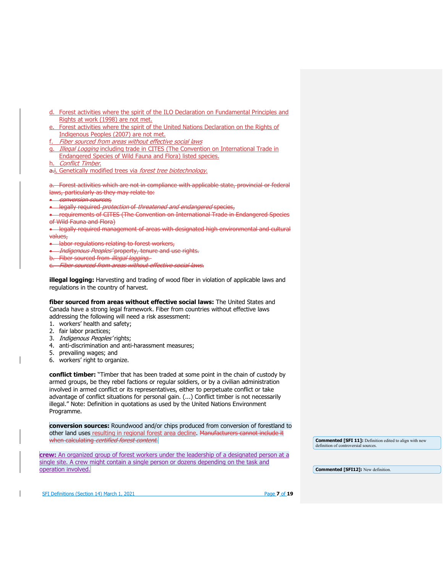- d. Forest activities where the spirit of the ILO Declaration on Fundamental Principles and Rights at work (1998) are not met.
- e. Forest activities where the spirit of the United Nations Declaration on the Rights of Indigenous Peoples (2007) are not met.
- Fiber sourced from areas without effective social laws
- g. Illegal Logging including trade in CITES (The Convention on International Trade in Endangered Species of Wild Fauna and Flora) listed species.
- Conflict Timber.
- a.i. Genetically modified trees via forest tree biotechnology.

a. Forest activities which are not in compliance with applicable state, provincial or federal laws, particularly as they may relate to:

- conversion sources,
- legally required *protection* of *threatened and endangered* species,

• requirements of CITES (The Convention on International Trade in Endangered Species of Wild Fauna and Flora)

• legally required management of areas with designated high environmental and cultural values,

• labor regulations relating to forest workers,

**•** Indigenous Peoples' property, tenure and use rights.

- b. Fiber sourced from *illegal logging*.
- c. Fiber sourced from areas without effective social laws.

**illegal logging:** Harvesting and trading of wood fiber in violation of applicable laws and regulations in the country of harvest.

**fiber sourced from areas without effective social laws:** The United States and Canada have a strong legal framework. Fiber from countries without effective laws addressing the following will need a risk assessment:

- 1. workers' health and safety;
- 2. fair labor practices;
- 3. Indigenous Peoples' rights;
- 4. anti-discrimination and anti-harassment measures;
- 5. prevailing wages; and
- 6. workers' right to organize.

**conflict timber:** "Timber that has been traded at some point in the chain of custody by armed groups, be they rebel factions or regular soldiers, or by a civilian administration involved in armed conflict or its representatives, either to perpetuate conflict or take advantage of conflict situations for personal gain. (...) Conflict timber is not necessarily illegal." Note: Definition in quotations as used by the United Nations Environment Programme.

**conversion sources:** Roundwood and/or chips produced from conversion of forestland to other land uses resulting in regional forest area decline. Manufacturers cannot include it when calculating certified forest content.

**crew:** An organized group of forest workers under the leadership of a designated person at a single site. A crew might contain a single person or dozens depending on the task and operation involved.

**Commented [SFI 11]:** Definition edited to align with new definition of controversial sources.

**Commented [SFI12]:** New definition.

SFI Definitions (Section 14) March 1, 2021 Page **7** of **19**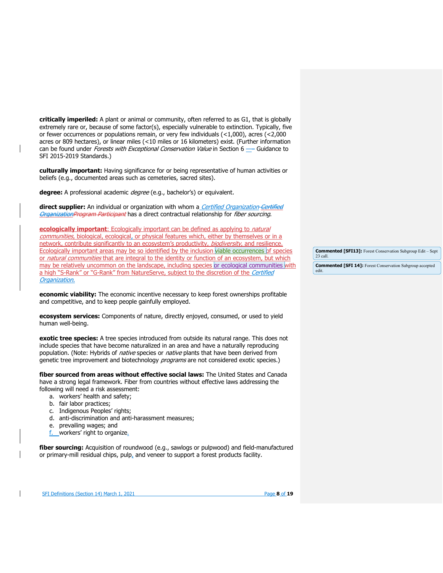**critically imperiled:** A plant or animal or community, often referred to as G1, that is globally extremely rare or, because of some factor(s), especially vulnerable to extinction. Typically, five or fewer occurrences or populations remain, or very few individuals (<1,000), acres (<2,000 acres or 809 hectares), or linear miles (<10 miles or 16 kilometers) exist. (Further information can be found under *Forests with Exceptional Conservation Value* in Section 6 —– Guidance to SFI 2015-2019 Standards.)

**culturally important:** Having significance for or being representative of human activities or beliefs (e.g., documented areas such as cemeteries, sacred sites).

**degree:** A professional academic degree (e.g., bachelor's) or equivalent.

**direct supplier:** An individual or organization with whom a *Certified Organization Certified* OrganizationProgram Participant has a direct contractual relationship for fiber sourcing.

**ecologically important**: Ecologically important can be defined as applying to *natural* communities, biological, ecological, or physical features which, either by themselves or in a network, contribute significantly to an ecosystem's productivity, *biodiversity*, and resilience. Ecologically important areas may be so identified by the inclusion viable occurrences of species or natural communities that are integral to the identity or function of an ecosystem, but which may be relatively uncommon on the landscape, including species or ecological communities with a high "S-Rank" or "G-Rank" from NatureServe, subject to the discretion of the Certified Organization.

**economic viability:** The economic incentive necessary to keep forest ownerships profitable and competitive, and to keep people gainfully employed.

**ecosystem services:** Components of nature, directly enjoyed, consumed, or used to yield human well-being.

**exotic tree species:** A tree species introduced from outside its natural range. This does not include species that have become naturalized in an area and have a naturally reproducing population. (Note: Hybrids of *native* species or *native* plants that have been derived from genetic tree improvement and biotechnology *programs* are not considered exotic species.)

**fiber sourced from areas without effective social laws:** The United States and Canada have a strong legal framework. Fiber from countries without effective laws addressing the following will need a risk assessment:

- a. workers' health and safety;
- b. fair labor practices;
- c. Indigenous Peoples' rights;
- d. anti-discrimination and anti-harassment measures;
- e. prevailing wages; and
- f. workers' right to organize.

**fiber sourcing:** Acquisition of roundwood (e.g., sawlogs or pulpwood) and field-manufactured or primary-mill residual chips, pulp, and veneer to support a forest products facility.

**Commented [SFI13]:** Forest Conservation Subgroup Edit – Sept. 23 call.

**Commented [SFI 14]:** Forest Conservation Subgroup accepted edit.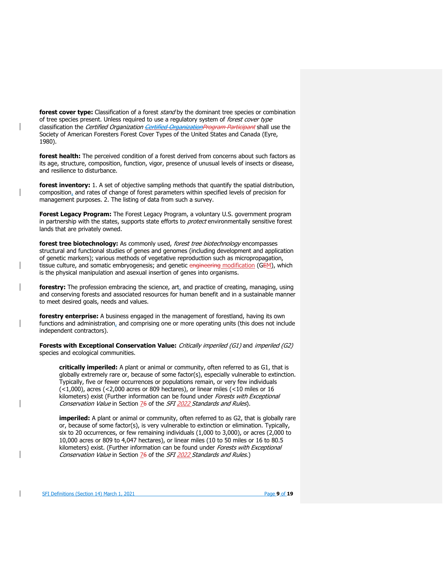**forest cover type:** Classification of a forest *stand* by the dominant tree species or combination of tree species present. Unless required to use a regulatory system of forest cover type classification the *Certified Organization <del>Certified OrganizationProgram Participant</del> shall use the* Society of American Foresters Forest Cover Types of the United States and Canada (Eyre, 1980).

**forest health:** The perceived condition of a forest derived from concerns about such factors as its age, structure, composition, function, vigor, presence of unusual levels of insects or disease, and resilience to disturbance.

**forest inventory:** 1. A set of objective sampling methods that quantify the spatial distribution, composition, and rates of change of forest parameters within specified levels of precision for management purposes. 2. The listing of data from such a survey.

**Forest Legacy Program:** The Forest Legacy Program, a voluntary U.S. government program in partnership with the states, supports state efforts to *protect* environmentally sensitive forest lands that are privately owned.

**forest tree biotechnology:** As commonly used, forest tree biotechnology encompasses structural and functional studies of genes and genomes (including development and application of genetic markers); various methods of vegetative reproduction such as micropropagation, tissue culture, and somatic embryogenesis; and genetic engineering modification (GEM), which is the physical manipulation and asexual insertion of genes into organisms.

**forestry:** The profession embracing the science, art, and practice of creating, managing, using and conserving forests and associated resources for human benefit and in a sustainable manner to meet desired goals, needs and values.

**forestry enterprise:** A business engaged in the management of forestland, having its own functions and administration, and comprising one or more operating units (this does not include independent contractors).

**Forests with Exceptional Conservation Value:** Critically imperiled (G1) and imperiled (G2) species and ecological communities.

**critically imperiled:** A plant or animal or community, often referred to as G1, that is globally extremely rare or, because of some factor(s), especially vulnerable to extinction. Typically, five or fewer occurrences or populations remain, or very few individuals (<1,000), acres (<2,000 acres or 809 hectares), or linear miles (<10 miles or 16 kilometers) exist (Further information can be found under Forests with Exceptional Conservation Value in Section 76 of the SFI 2022 Standards and Rules).

**imperiled:** A plant or animal or community, often referred to as G2, that is globally rare or, because of some factor(s), is very vulnerable to extinction or elimination. Typically, six to 20 occurrences, or few remaining individuals (1,000 to 3,000), or acres (2,000 to 10,000 acres or 809 to 4,047 hectares), or linear miles (10 to 50 miles or 16 to 80.5 kilometers) exist. (Further information can be found under Forests with Exceptional Conservation Value in Section 76 of the SFI 2022 Standards and Rules.)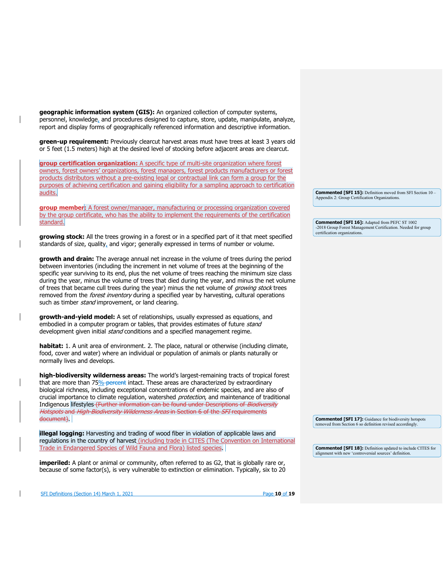**geographic information system (GIS):** An organized collection of computer systems, personnel, knowledge, and procedures designed to capture, store, update, manipulate, analyze, report and display forms of geographically referenced information and descriptive information.

**green-up requirement:** Previously clearcut harvest areas must have trees at least 3 years old or 5 feet (1.5 meters) high at the desired level of stocking before adjacent areas are clearcut.

**group certification organization:** A specific type of multi-site organization where forest owners, forest owners' organizations, forest managers, forest products manufacturers or forest products distributors without a pre-existing legal or contractual link can form a group for the purposes of achieving certification and gaining eligibility for a sampling approach to certification audits.

**group member:** A forest owner/manager, manufacturing or processing organization covered by the group certificate, who has the ability to implement the requirements of the certification standard.

**growing stock:** All the trees growing in a forest or in a specified part of it that meet specified standards of size, quality, and vigor; generally expressed in terms of number or volume.

**growth and drain:** The average annual net increase in the volume of trees during the period between inventories (including the increment in net volume of trees at the beginning of the specific year surviving to its end, plus the net volume of trees reaching the minimum size class during the year, minus the volume of trees that died during the year, and minus the net volume of trees that became cull trees during the year) minus the net volume of *growing stock* trees removed from the *forest inventory* during a specified year by harvesting, cultural operations such as timber *stand* improvement, or land clearing.

**growth-and-yield model:** A set of relationships, usually expressed as equations, and embodied in a computer program or tables, that provides estimates of future stand development given initial *stand* conditions and a specified management regime.

**habitat:** 1. A unit area of environment. 2. The place, natural or otherwise (including climate, food, cover and water) where an individual or population of animals or plants naturally or normally lives and develops.

**high-biodiversity wilderness areas:** The world's largest-remaining tracts of tropical forest that are more than 75% percent intact. These areas are characterized by extraordinary biological richness, including exceptional concentrations of endemic species, and are also of crucial importance to climate regulation, watershed *protection*, and maintenance of traditional Indigenous lifestyles (Further information can be found under Descriptions of Biodiversity Hotspots and High-Biodiversity Wilderness Areas in Section 6 of the SFI requirements document).

**illegal logging:** Harvesting and trading of wood fiber in violation of applicable laws and regulations in the country of harvest (including trade in CITES (The Convention on International Trade in Endangered Species of Wild Fauna and Flora) listed species.

**imperiled:** A plant or animal or community, often referred to as G2, that is globally rare or, because of some factor(s), is very vulnerable to extinction or elimination. Typically, six to 20 **Commented [SFI 15]:** Definition moved from SFI Section 10 – Appendix 2: Group Certification Organizations.

**Commented [SFI 16]:** Adapted from PEFC ST 1002 -2018 Group Forest Management Certification. Needed for group certification organizations.

**Commented [SFI 17]:** Guidance for biodiversity hotspots removed from Section 6 so definition revised accordingly.

**Commented [SFI 18]:** Definition updated to include CITES for alignment with new 'controversial sources' definition.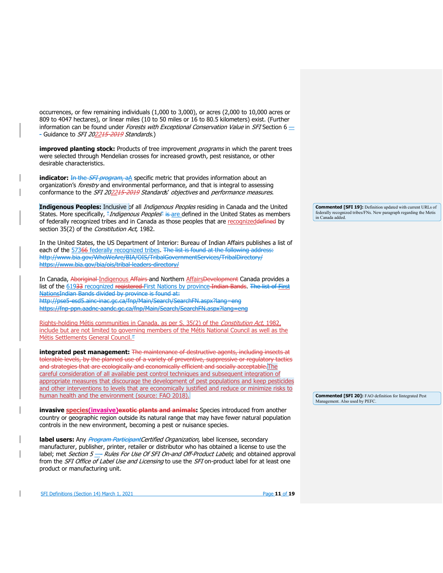occurrences, or few remaining individuals (1,000 to 3,000), or acres (2,000 to 10,000 acres or 809 to 4047 hectares), or linear miles (10 to 50 miles or 16 to 80.5 kilometers) exist. (Further information can be found under *Forests with Exceptional Conservation Value* in SFI Section 6  $\pm$ - Guidance to SFI 202215-2019 Standards.)

**improved planting stock:** Products of tree improvement *programs* in which the parent trees were selected through Mendelian crosses for increased growth, pest resistance, or other desirable characteristics.

**indicator:** In the *SFI program*, aA specific metric that provides information about an organization's *forestry* and environmental performance, and that is integral to assessing conformance to the SFI 202215-2019 Standards' objectives and performance measures.

Indigenous Peoples: Inclusive of all *Indigenous Peoples* residing in Canada and the United States. More specifically, "*Indigenous Peoples*" is are defined in the United States as members of federally recognized tribes and in Canada as those peoples that are recognized defined by section 35(2) of the Constitution Act, 1982.

In the United States, the US Department of Interior: Bureau of Indian Affairs publishes a list of each of the 57366 [federally recognized tribes.](https://www.bia.gov/bia/ois/tribal-leaders-directory/) The list is found at the following address: http://www.bia.gov/WhoWeAre/BIA/OIS/TribalGovernmentServices/TribalDirectory/ https://www.bia.gov/bia/ois/tribal-leaders-directory/

In Canada, Aboriginal Indigenous Affairs and Northern AffairsDevelopment Canada provides a list of the 61933 [recognized registered](https://fnp-ppn.aadnc-aandc.gc.ca/fnp/Main/Search/SearchFN.aspx?lang=eng) First Nations by province Indian Bands. The list of First NationsIndian Bands divided by province is found at: http://pse5-esd5.ainc-inac.gc.ca/fnp/Main/Search/SearchFN.aspx?lang=eng https://fnp-ppn.aadnc-aandc.gc.ca/fnp/Main/Search/SearchFN.aspx?lang=eng

Rights-holding Métis communities in Canada, as per S. 35(2) of the *Constitution Act*, 1982, include but are not limited to governing members of the Métis National Council as well as the Métis Settlements General Council.<sup>"</sup>

**integrated pest management:** The maintenance of destructive agents, including insects at tolerable levels, by the planned use of a variety of preventive, suppressive or regulatory tactics and strategies that are ecologically and economically efficient and socially acceptable. The careful consideration of all available pest control techniques and subsequent integration of appropriate measures that discourage the development of pest populations and keep pesticides and other interventions to levels that are economically justified and reduce or minimize risks to human health and the environment (source: FAO 2018).

**invasive species(invasive)exotic plants and animals:** Species introduced from another country or geographic region outside its natural range that may have fewer natural population controls in the new environment, becoming a pest or nuisance species.

**label users:** Any *Program ParticipantCertified Organization*, label licensee, secondary manufacturer, publisher, printer, retailer or distributor who has obtained a license to use the label; met Section 5 - Rules For Use Of SFI On-and Off-Product Labels; and obtained approval from the SFI Office of Label Use and Licensing to use the SFI on-product label for at least one product or manufacturing unit.

SFI Definitions (Section 14) March 1, 2021 **Page 11** of **19** 

**Commented [SFI 19]:** Definition updated with current URLs of federally recognized tribes/FNs. New paragraph regarding the Metis in Canada added.

**Commented [SFI 20]:** FAO definition for Iintegrated Pest Management. Also used by PEFC.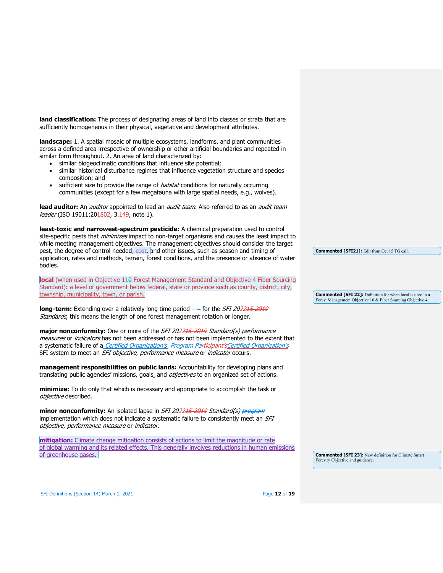**land classification:** The process of designating areas of land into classes or strata that are sufficiently homogeneous in their physical, vegetative and development attributes.

**landscape:** 1. A spatial mosaic of multiple ecosystems, landforms, and plant communities across a defined area irrespective of ownership or other artificial boundaries and repeated in similar form throughout. 2. An area of land characterized by:

- similar biogeoclimatic conditions that influence site potential;
- similar historical disturbance regimes that influence vegetation structure and species composition; and
- sufficient size to provide the range of *habitat* conditions for naturally occurring communities (except for a few megafauna with large spatial needs, e.g., wolves).

lead auditor: An *auditor* appointed to lead an *audit team*. Also referred to as an *audit team* leader (ISO 19011:201802, 3.149, note 1).

**least-toxic and narrowest-spectrum pesticide:** A chemical preparation used to control site-specific pests that *minimizes* impact to non-target organisms and causes the least impact to while meeting management objectives. The management objectives should consider the target pest, the degree of control needed, cost, and other issues, such as season and timing of application, rates and methods, terrain, forest conditions, and the presence or absence of water bodies.

**local** (when used in Objective 11<del>0</del> Forest Management Standard and Objective 4 Fiber Sourcing Standard): a level of government below federal, state or province such as county, district, city, township, municipality, town, or parish.

**long-term:** Extending over a relatively long time period - for the SFI 202245-2019 Standards, this means the length of one forest management rotation or longer.

**major nonconformity:** One or more of the SFI 202245-2019 Standard(s) performance measures or *indicators* has not been addressed or has not been implemented to the extent that a systematic failure of a *Certified Organization's -Program Participant'sCertified Organization's* SFI system to meet an SFI objective, performance measure or indicator occurs.

**management responsibilities on public lands:** Accountability for developing plans and translating public agencies' missions, goals, and *objectives* to an organized set of actions.

**minimize:** To do only that which is necessary and appropriate to accomplish the task or objective described.

**minor nonconformity:** An isolated lapse in SFI 202215-2019 Standard(s) program implementation which does not indicate a systematic failure to consistently meet an SFI objective, performance measure or indicator.

**mitigation:** Climate change mitigation consists of actions to limit the magnitude or rate of global warming and its related effects. This generally involves reductions in human emissions of greenhouse gases.

**Commented [SFI21]:** Edit from Oct 15 TG call.

**Commented [SFI 22]:** Definition for when local is used in a Forest Management Objective 10 & Fiber Sourcing Objective 4.

**Commented [SFI 23]:** New definition for Climate Smart Forestry Objective and guidance.

SFI Definitions (Section 14) March 1, 2021 **Page 12** of **19** Page **12** of **19**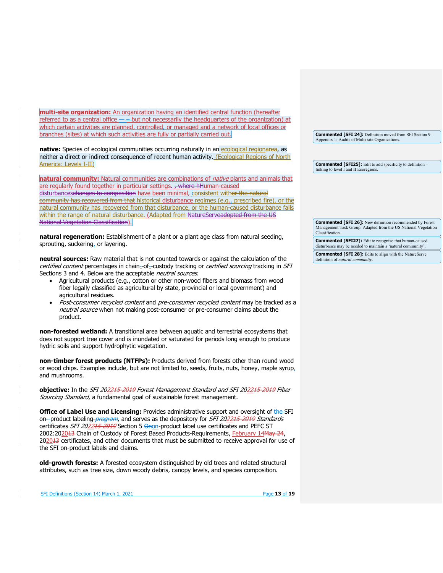**multi-site organization:** An organization having an identified central function (hereafter referred to as a central office  $-\rightarrow$  but not necessarily the headquarters of the organization) at which certain activities are planned, controlled, or managed and a network of local offices or branches (sites) at which such activities are fully or partially carried out.

native: Species of ecological communities occurring naturally in an ecological regionarea, as neither a direct or indirect consequence of recent human activity. (Ecological Regions of North America: Levels I-II)

**natural community:** Natural communities are combinations of *native* plants and animals that are regularly found together in particular settings. , where hHuman-caused disturbanceschanges to composition have been minimal, consistent withor the natural community has recovered from that historical disturbance regimes (e.g., prescribed fire), or the natural community has recovered from that disturbance, or the human-caused disturbance falls within the range of natural disturbance. (Adapted from NatureServeadopted from the US National Vegetation Classification).

**natural regeneration:** Establishment of a plant or a plant age class from natural seeding, sprouting, suckering, or layering.

**neutral sources:** Raw material that is not counted towards or against the calculation of the certified content percentages in chain-of-custody tracking or certified sourcing tracking in SFI Sections 3 and 4. Below are the acceptable neutral sources.

- Agricultural products (e.g., cotton or other non-wood fibers and biomass from wood fiber legally classified as agricultural by state, provincial or local government) and agricultural residues.
- Post-consumer recycled content and pre-consumer recycled content may be tracked as a neutral source when not making post-consumer or pre-consumer claims about the product.

**non-forested wetland:** A transitional area between aquatic and terrestrial ecosystems that does not support tree cover and is inundated or saturated for periods long enough to produce hydric soils and support hydrophytic vegetation.

**non-timber forest products (NTFPs):** Products derived from forests other than round wood or wood chips. Examples include, but are not limited to, seeds, fruits, nuts, honey, maple syrup, and mushrooms.

**objective:** In the SFI 202215-2019 Forest Management Standard and SFI 202215-2019 Fiber Sourcing Standard, a fundamental goal of sustainable forest management.

**Office of Label Use and Licensing:** Provides administrative support and oversight of the SFI on--product labeling *program*, and serves as the depository for *SFI 2022<del>15-2019</del> Standards* certificates SFI 202215-2019 Section 5 Onon-product label use certificates and PEFC ST 2002:202013 Chain of Custody of Forest Based Products-Requirements, February 14May 24, 202013 certificates, and other documents that must be submitted to receive approval for use of the SFI on-product labels and claims.

**old-growth forests:** A forested ecosystem distinguished by old trees and related structural attributes, such as tree size, down woody debris, canopy levels, and species composition.

**Commented [SFI 24]:** Definition moved from SFI Section 9 – Appendix 1: Audits of Multi-site Organizations.

**Commented [SFI25]:** Edit to add specificity to definition – linking to level I and II Ecoregions.

**Commented [SFI 26]:** New definition recommended by Forest Management Task Group. Adapted from the US National Vegetation Classification.

**Commented [SFI27]:** Edit to recognize that human-caused disturbance may be needed to maintain a 'natural community'.

**Commented [SFI 28]:** Edits to align with the NatureServe definition of *natural community*.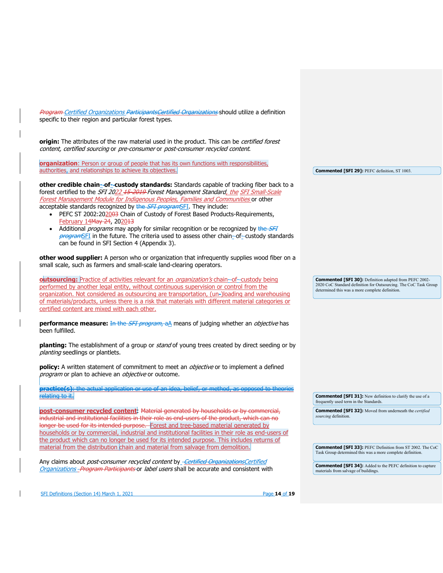SFI Definitions (Section 14) March 1, 2021 **Page 14** of **19** Page **14** of **19** Program Certified Organizations ParticipantsCertified Organizations should utilize a definition specific to their region and particular forest types. **origin:** The attributes of the raw material used in the product. This can be certified forest content, certified sourcing or pre-consumer or post-consumer recycled content. **organization**: Person or group of people that has its own functions with responsibilities, authorities, and relationships to achieve its objectives. **other credible chain- of- custody standards:** Standards capable of tracking fiber back to a forest certified to the SFI 2022 15-2019 Forest Management Standard, the SFI Small-Scale Forest Management Module for Indigenous Peoples, Families and Communities or other acceptable standards recognized by the **SFI programSFI**. They include: • PEFC ST 2002:202003 Chain of Custody of Forest Based Products-Requirements, February 14May 24, 202013 • Additional *programs* may apply for similar recognition or be recognized by the SFI programSFI in the future. The criteria used to assess other chain--of--custody standards can be found in SFI Section 4 (Appendix 3). **other wood supplier:** A person who or organization that infrequently supplies wood fiber on a small scale, such as farmers and small-scale land-clearing operators. **outsourcing:** Practice of activities relevant for an *organization's* chain--of--custody being performed by another legal entity, without continuous supervision or control from the organization. Not considered as outsourcing are transportation, (un-)loading and warehousing of materials/products, unless there is a risk that materials with different material categories or certified content are mixed with each other. **performance measure:** In the *SFI program*, a<sub>n</sub> means of judging whether an *objective* has been fulfilled. **planting:** The establishment of a group or stand of young trees created by direct seeding or by planting seedlings or plantlets. **policy:** A written statement of commitment to meet an *objective* or to implement a defined program or plan to achieve an objective or outcome. **practice(s)**: the actual application or use of an idea, belief, or method, as opposed to theories relating to it. **post-consumer recycled content**: Material generated by households or by commercial, industrial and institutional facilities in their role as end users of the product, which can no longer be used for its intended purpose. Forest and tree-based material generated by households or by commercial, industrial and institutional facilities in their role as end-users of the product which can no longer be used for its intended purpose. This includes returns of material from the distribution chain and material from salvage from demolition Any claims about *post-consumer recycled content* by *- Certified Organizations Certified* Organizations - Program Participants or label users shall be accurate and consistent with **Commented [SFI 29]:** PEFC definition, ST 1003. **Commented [SFI 30]:** Definition adapted from PEFC 2002- 2020 CoC Standard definition for Outsourcing. The CoC Task Group determined this was a more complete definition. **Commented [SFI 31]:** New definition to clarify the use of a frequently used term in the Standards. **Commented [SFI 32]:** Moved from underneath the *certified sourcing* definition. **Commented [SFI 33]:** PEFC Definition from ST 2002. The CoC Task Group determined this was a more complete definition. **Commented [SFI 34]:** Added to the PEFC definition to capture materials from salvage of buildings.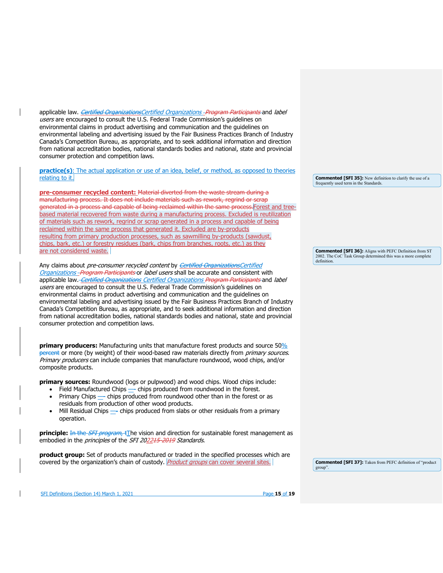applicable law. Certified OrganizationsCertified Organizations - Program Participants and label users are encouraged to consult the U.S. Federal Trade Commission's guidelines on environmental claims in product advertising and communication and the guidelines on environmental labeling and advertising issued by the Fair Business Practices Branch of Industry Canada's Competition Bureau, as appropriate, and to seek additional information and direction from national accreditation bodies, national standards bodies and national, state and provincial consumer protection and competition laws.

**practice(s)**: The actual application or use of an idea, belief, or method, as opposed to theories relating to it.

**pre-consumer recycled content:** Material diverted from the waste stream during a manufacturing process. It does not include materials such as rework, regrind or scrap generated in a process and capable of being reclaimed within the same process. Forest and treebased material recovered from waste during a manufacturing process. Excluded is reutilization of materials such as rework, regrind or scrap generated in a process and capable of being reclaimed within the same process that generated it. Excluded are by-products resulting from primary production processes, such as sawmilling by-products (sawdust, chips, bark, etc.) or forestry residues (bark, chips from branches, roots, etc.) as they are not considered waste.

Any claims about *pre-consumer recycled content* by *Certified OrganizationsCertified* Organizations - Program Participants or label users shall be accurate and consistent with applicable law. Certified Organizations Certified Organizations Program Participants and label users are encouraged to consult the U.S. Federal Trade Commission's guidelines on environmental claims in product advertising and communication and the guidelines on environmental labeling and advertising issued by the Fair Business Practices Branch of Industry Canada's Competition Bureau, as appropriate, and to seek additional information and direction from national accreditation bodies, national standards bodies and national, state and provincial consumer protection and competition laws.

**primary producers:** Manufacturing units that manufacture forest products and source 50% percent or more (by weight) of their wood-based raw materials directly from *primary sources*. Primary producers can include companies that manufacture roundwood, wood chips, and/or composite products.

**primary sources:** Roundwood (logs or pulpwood) and wood chips. Wood chips include:

- Field Manufactured Chips chips produced from roundwood in the forest. • Primary Chips — chips produced from roundwood other than in the forest or as
- residuals from production of other wood products.
- Mill Residual Chips chips produced from slabs or other residuals from a primary operation.

**principle:** In the *SFI program*, tThe vision and direction for sustainable forest management as embodied in the *principles* of the SFI 202215-2019 Standards.

**product group:** Set of products manufactured or traded in the specified processes which are covered by the organization's chain of custody. *Product groups* can cover several sites.

**Commented [SFI 35]:** New definition to clarify the use of a frequently used term in the Standards.

**Commented [SFI 36]:** Aligns with PEFC Definition from ST 2002. The CoC Task Group determined this was a more complete definition.

**Commented [SFI 37]:** Taken from PEFC definition of "product group".

SFI Definitions (Section 14) March 1, 2021 **Page 15** of **19** Page **15** of **19**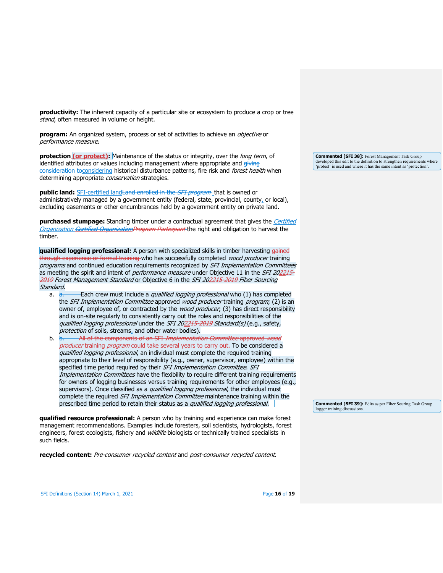**productivity:** The inherent capacity of a particular site or ecosystem to produce a crop or tree stand, often measured in volume or height.

**program:** An organized system, process or set of activities to achieve an *objective* or performance measure.

**protection (or protect):** Maintenance of the status or integrity, over the *long term*, of identified attributes or values including management where appropriate and giving consideration toconsidering historical disturbance patterns, fire risk and forest health when determining appropriate *conservation* strategies.

**public land:** SFI-certified land Land enrolled in the *SFI program* that is owned or administratively managed by a government entity (federal, state, provincial, county<sub>4</sub> or local), excluding easements or other encumbrances held by a government entity on private land.

**purchased stumpage:** Standing timber under a contractual agreement that gives the Certified Organization Certified OrganizationProgram Participant the right and obligation to harvest the timber.

**qualified logging professional:** A person with specialized skills in timber harvesting gained through experience or formal training who has successfully completed *wood producer* training programs and continued education requirements recognized by SFI Implementation Committees as meeting the spirit and intent of *performance measure* under Objective 11 in the SFI 202245-2019 Forest Management Standard or Objective 6 in the SFI 202215-2019 Fiber Sourcing Standard.

- a.  $\frac{a}{2}$  Each crew must include a *qualified logging professional* who (1) has completed the *SFI Implementation Committee* approved *wood producer* training *program*; (2) is an owner of, employee of, or contracted by the *wood producer*; (3) has direct responsibility and is on-site regularly to consistently carry out the roles and responsibilities of the qualified logging professional under the SFI 202215-2019 Standard(s) (e.g., safety, protection of soils, streams, and other water bodies).<br>b. b. e. All of the components of an SEL *Implementation*
- All of the components of an SFI Implementation Committee approved wood producer training program could take several years to carry out. To be considered a qualified logging professional, an individual must complete the required training appropriate to their level of responsibility (e.g., owner, supervisor, employee) within the specified time period required by their SFI Implementation Committee. SFI Implementation Committees have the flexibility to require different training requirements for owners of logging businesses versus training requirements for other employees (e.g., supervisors). Once classified as a qualified logging professional, the individual must complete the required *SFI Implementation Committee* maintenance training within the prescribed time period to retain their status as a qualified logging professional.

**qualified resource professional:** A person who by training and experience can make forest management recommendations. Examples include foresters, soil scientists, hydrologists, forest engineers, forest ecologists, fishery and *wildlife* biologists or technically trained specialists in such fields.

**recycled content:** Pre-consumer recycled content and post-consumer recycled content.

**Commented [SFI 38]:** Forest Management Task Group developed this edit to the definition to strengthen requirements where 'protect' is used and where it has the same intent as 'protection'.

**Commented [SFI 39]:** Edits as per Fiber Souring Task Group logger training discussions.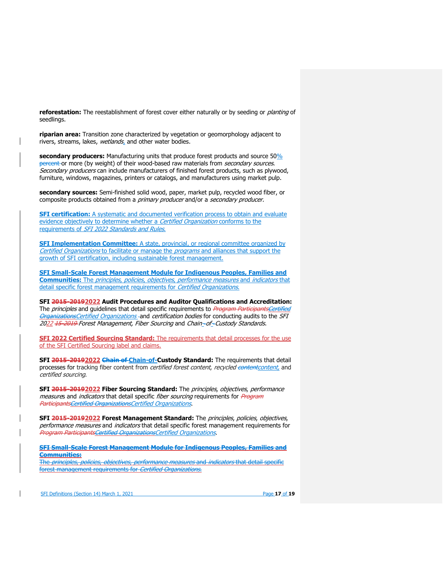**reforestation:** The reestablishment of forest cover either naturally or by seeding or planting of seedlings.

**riparian area:** Transition zone characterized by vegetation or geomorphology adjacent to rivers, streams, lakes, wetlands, and other water bodies.

**secondary producers:** Manufacturing units that produce forest products and source 50% percent or more (by weight) of their wood-based raw materials from *secondary sources*. Secondary producers can include manufacturers of finished forest products, such as plywood, furniture, windows, magazines, printers or catalogs, and manufacturers using market pulp.

**secondary sources:** Semi-finished solid wood, paper, market pulp, recycled wood fiber, or composite products obtained from a primary producer and/or a secondary producer.

**SFI certification:** A systematic and documented verification process to obtain and evaluate evidence objectively to determine whether a Certified Organization conforms to the requirements of SFI 2022 Standards and Rules.

**SFI Implementation Committee:** A state, provincial, or regional committee organized by Certified Organizations to facilitate or manage the programs and alliances that support the growth of SFI certification, including sustainable forest management.

**SFI Small-Scale Forest Management Module for Indigenous Peoples, Families and Communities:** The principles, policies, objectives, performance measures and indicators that detail specific forest management requirements for Certified Organizations.

**SFI 2015-20192022 Audit Procedures and Auditor Qualifications and Accreditation:** The *principles* and guidelines that detail specific requirements to *Program ParticipantsCertified* OrganizationsCertified Organizations-and certification bodies for conducting audits to the SFI 2022 15-2019 Forest Management, Fiber Sourcing and Chain-of-Custody Standards.

**SFI 2022 Certified Sourcing Standard:** The requirements that detail processes for the use of the SFI Certified Sourcing label and claims.

**SFI 2015-20192022 Chain of Chain-of-Custody Standard:** The requirements that detail processes for tracking fiber content from *certified forest content, recycled contentcontent*, and certified sourcing.

**SFI 2015-20192022 Fiber Sourcing Standard:** The principles, objectives, performance measures and *indicators* that detail specific *fiber sourcing* requirements for *Program* ParticipantsCertified OrganizationsCertified Organizations.

**SFI 2015-20192022 Forest Management Standard:** The principles, policies, objectives, performance measures and indicators that detail specific forest management requirements for Program ParticipantsCertified OrganizationsCertified Organizations.

**SFI Small-Scale Forest Management Module for Indigenous Peoples, Families and Communities:** 

The *principles, policies, objectives, performance measures* and *indicators* that detail specific forest management requirements for Certified Organizations.

SFI Definitions (Section 14) March 1, 2021 Page **17** of **19**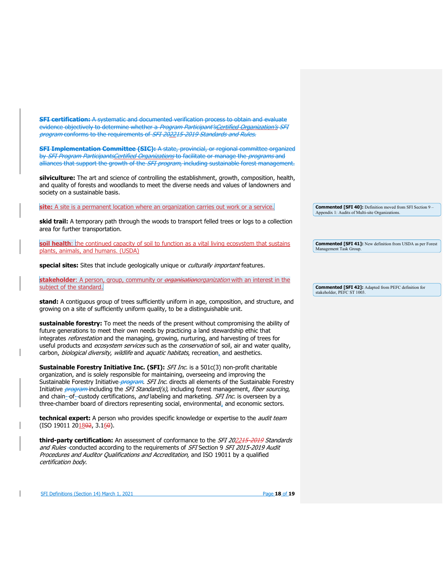**SFI certification:** A systematic and documented verification process to obtain and evaluate evidence objectively to determine whether a Program Participant's Certified Organization's SFI program conforms to the requirements of SFI 202215-2019 Standards and Rules.

**SFI Implementation Committee (SIC):** A state, provincial, or regional committee organized by SFI Program ParticipantsCertified Organizations to facilitate or manage the programs and alliances that support the growth of the *SFI program*, including sustainable forest management.

**silviculture:** The art and science of controlling the establishment, growth, composition, health, and quality of forests and woodlands to meet the diverse needs and values of landowners and society on a sustainable basis.

site: A site is a permanent location where an organization carries out work or a service.

**skid trail:** A temporary path through the woods to transport felled trees or logs to a collection area for further transportation.

soil health: the continued capacity of soil to function as a vital living ecosystem that sustains plants, animals, and humans. (USDA)

**special sites:** Sites that include geologically unique or culturally important features.

stakeholder: A person, group, community or *organisationorganization* with an interest in the subject of the standard.

**stand:** A contiguous group of trees sufficiently uniform in age, composition, and structure, and growing on a site of sufficiently uniform quality, to be a distinguishable unit.

**sustainable forestry:** To meet the needs of the present without compromising the ability of future generations to meet their own needs by practicing a land stewardship ethic that integrates reforestation and the managing, growing, nurturing, and harvesting of trees for useful products and ecosystem services such as the conservation of soil, air and water quality, carbon, biological diversity, wildlife and aquatic habitats, recreation, and aesthetics.

**Sustainable Forestry Initiative Inc. (SFI):** SFI Inc. is a 501c(3) non-profit charitable organization, and is solely responsible for maintaining, overseeing and improving the Sustainable Forestry Initiative *program. SFI Inc.* directs all elements of the Sustainable Forestry Initiative *program*-including the SFI Standard(s), including forest management, fiber sourcing, and chain-of-custody certifications, and labeling and marketing. SFI Inc. is overseen by a three-chamber board of directors representing social, environmental, and economic sectors.

**technical expert:** A person who provides specific knowledge or expertise to the *audit team*  $(ISO 19011 201802, 3.160).$ 

**third-party certification:** An assessment of conformance to the *SFI 2022<del>15-2019</del> Standards* and Rules-conducted according to the requirements of SFI Section 9 SFI 2015-2019 Audit Procedures and Auditor Qualifications and Accreditation, and ISO 19011 by a qualified certification body.

**Commented [SFI 40]:** Definition moved from SFI Section 9 – Appendix 1: Audits of Multi-site Organizations.

**Commented [SFI 41]:** New definition from USDA as per Forest Management Task Group.

**Commented [SFI 42]:** Adapted from PEFC definition for stakeholder, PEFC ST 1003.

SFI Definitions (Section 14) March 1, 2021 Page **18** of **19**